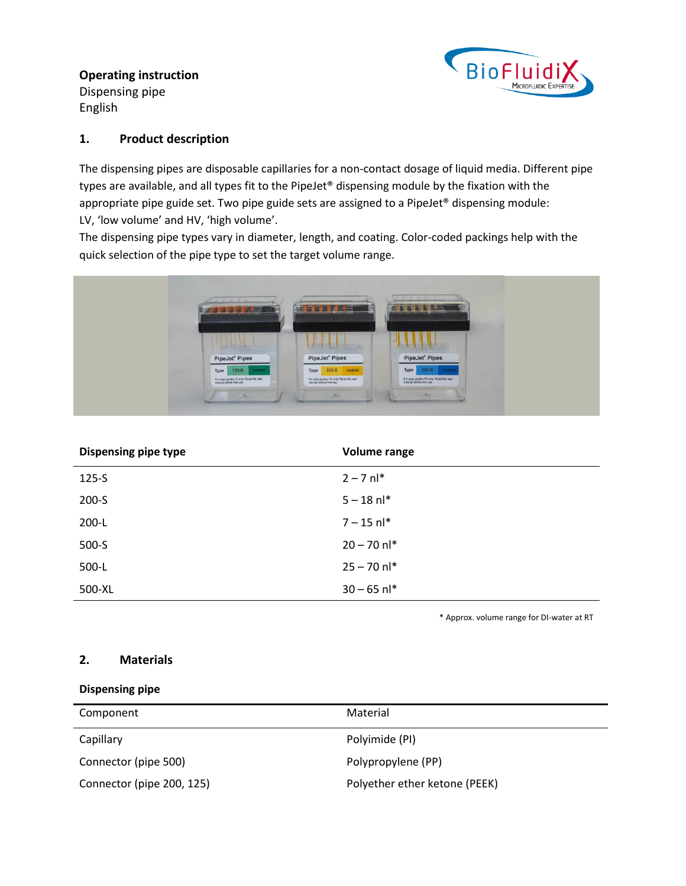**Operating instruction** Dispensing pipe English



### **1. Product description**

The dispensing pipes are disposable capillaries for a non-contact dosage of liquid media. Different pipe types are available, and all types fit to the PipeJet® dispensing module by the fixation with the appropriate pipe guide set. Two pipe guide sets are assigned to a PipeJet® dispensing module: LV, 'low volume' and HV, 'high volume'.

The dispensing pipe types vary in diameter, length, and coating. Color-coded packings help with the quick selection of the pipe type to set the target volume range.



| <b>Dispensing pipe type</b> | Volume range  |
|-----------------------------|---------------|
| $125 - S$                   | $2 - 7$ nl*   |
| $200 - S$                   | $5 - 18$ nl*  |
| $200-L$                     | $7 - 15$ nl*  |
| $500-S$                     | $20 - 70$ nl* |
| 500-L                       | $25 - 70$ nl* |
| 500-XL                      | $30 - 65$ nl* |

\* Approx. volume range for DI-water at RT

# **2. Materials**

#### **Dispensing pipe**

| Component                 | Material                      |
|---------------------------|-------------------------------|
| Capillary                 | Polyimide (PI)                |
| Connector (pipe 500)      | Polypropylene (PP)            |
| Connector (pipe 200, 125) | Polyether ether ketone (PEEK) |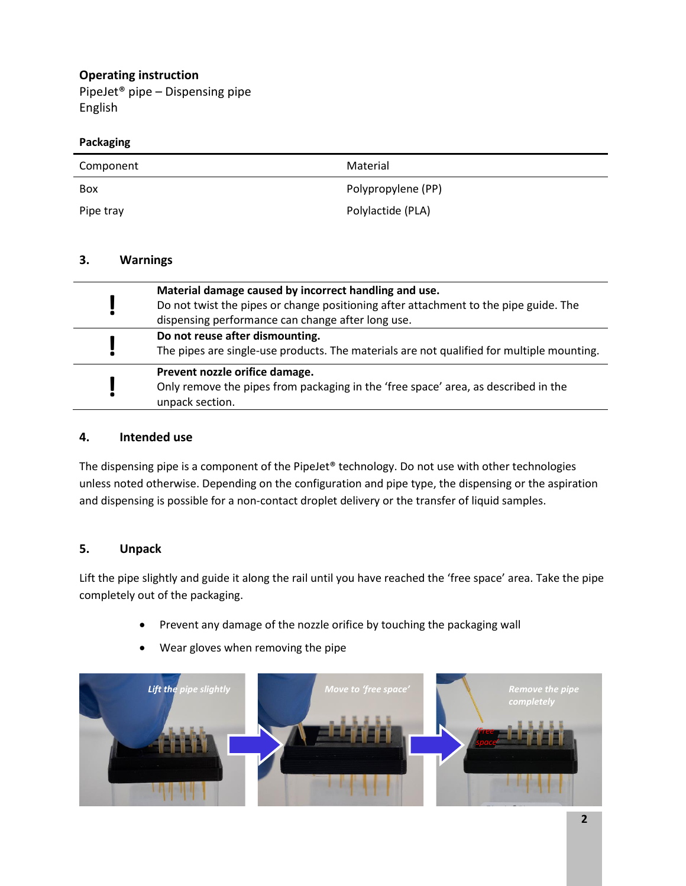# **Operating instruction**

PipeJet® pipe – Dispensing pipe English

#### **Packaging**

| Component | Material           |
|-----------|--------------------|
| Box       | Polypropylene (PP) |
| Pipe tray | Polylactide (PLA)  |

### **3. Warnings**

| Material damage caused by incorrect handling and use.<br>Do not twist the pipes or change positioning after attachment to the pipe guide. The<br>dispensing performance can change after long use. |
|----------------------------------------------------------------------------------------------------------------------------------------------------------------------------------------------------|
| Do not reuse after dismounting.<br>The pipes are single-use products. The materials are not qualified for multiple mounting.                                                                       |
| Prevent nozzle orifice damage.<br>Only remove the pipes from packaging in the 'free space' area, as described in the<br>unpack section.                                                            |

### **4. Intended use**

The dispensing pipe is a component of the PipeJet® technology. Do not use with other technologies unless noted otherwise. Depending on the configuration and pipe type, the dispensing or the aspiration and dispensing is possible for a non-contact droplet delivery or the transfer of liquid samples.

# **5. Unpack**

Lift the pipe slightly and guide it along the rail until you have reached the 'free space' area. Take the pipe completely out of the packaging.

- Prevent any damage of the nozzle orifice by touching the packaging wall
- Wear gloves when removing the pipe

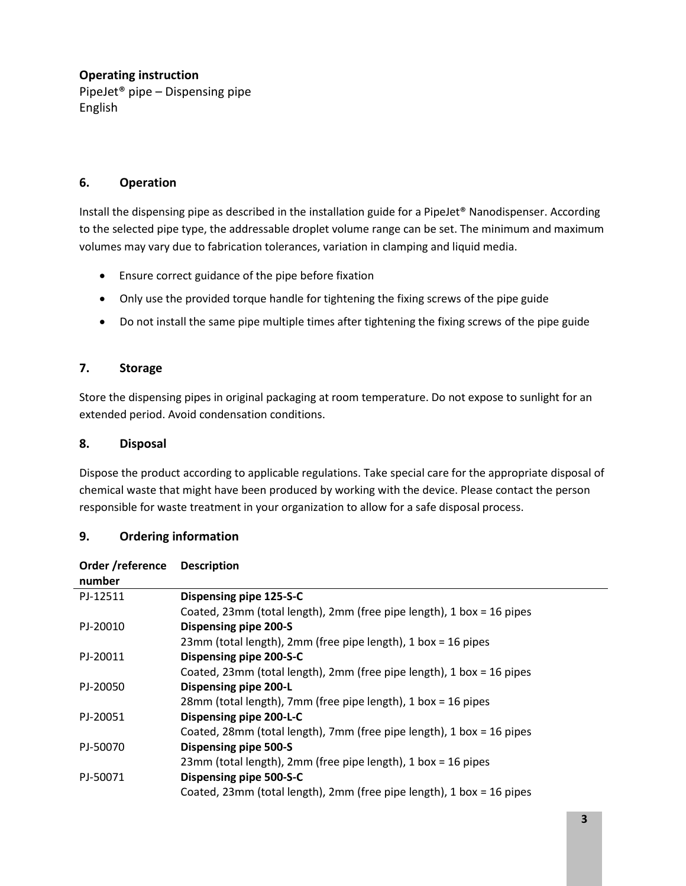# **Operating instruction**

PipeJet® pipe – Dispensing pipe English

# **6. Operation**

Install the dispensing pipe as described in the installation guide for a PipeJet® Nanodispenser. According to the selected pipe type, the addressable droplet volume range can be set. The minimum and maximum volumes may vary due to fabrication tolerances, variation in clamping and liquid media.

- Ensure correct guidance of the pipe before fixation
- Only use the provided torque handle for tightening the fixing screws of the pipe guide
- Do not install the same pipe multiple times after tightening the fixing screws of the pipe guide

### **7. Storage**

Store the dispensing pipes in original packaging at room temperature. Do not expose to sunlight for an extended period. Avoid condensation conditions.

#### **8. Disposal**

Dispose the product according to applicable regulations. Take special care for the appropriate disposal of chemical waste that might have been produced by working with the device. Please contact the person responsible for waste treatment in your organization to allow for a safe disposal process.

#### **9. Ordering information**

| Order /reference<br>number | <b>Description</b>                                                    |
|----------------------------|-----------------------------------------------------------------------|
| PJ-12511                   | Dispensing pipe 125-S-C                                               |
|                            | Coated, 23mm (total length), 2mm (free pipe length), 1 box = 16 pipes |
| PJ-20010                   | <b>Dispensing pipe 200-S</b>                                          |
|                            | 23mm (total length), 2mm (free pipe length), 1 box = 16 pipes         |
| PJ-20011                   | Dispensing pipe 200-S-C                                               |
|                            | Coated, 23mm (total length), 2mm (free pipe length), 1 box = 16 pipes |
| PJ-20050                   | Dispensing pipe 200-L                                                 |
|                            | 28mm (total length), 7mm (free pipe length), 1 box = 16 pipes         |
| PJ-20051                   | Dispensing pipe 200-L-C                                               |
|                            | Coated, 28mm (total length), 7mm (free pipe length), 1 box = 16 pipes |
| PJ-50070                   | Dispensing pipe 500-S                                                 |
|                            | 23mm (total length), 2mm (free pipe length), 1 box = 16 pipes         |
| PJ-50071                   | Dispensing pipe 500-S-C                                               |
|                            | Coated, 23mm (total length), 2mm (free pipe length), 1 box = 16 pipes |